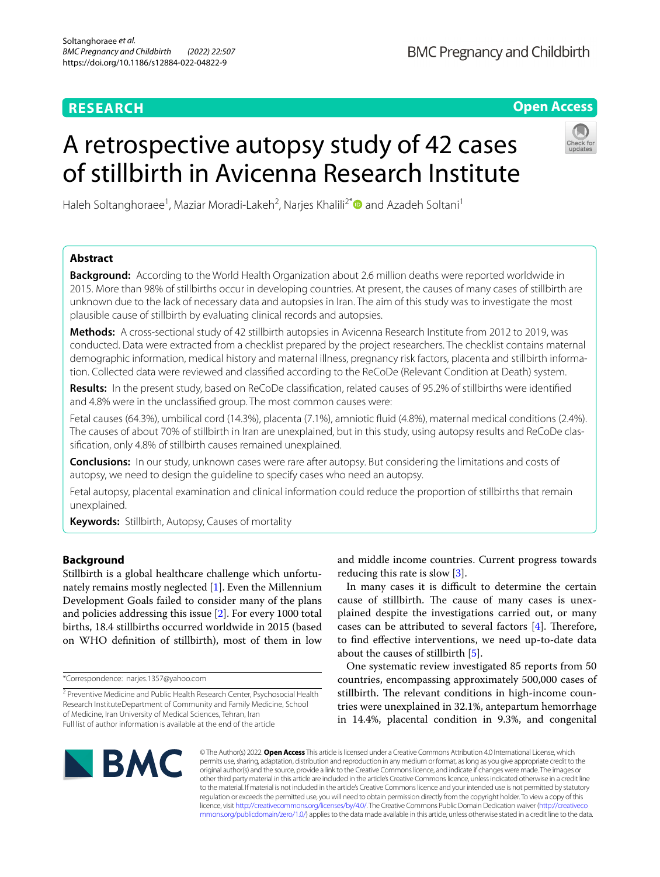# **RESEARCH**

**Open Access**

# A retrospective autopsy study of 42 cases of stillbirth in Avicenna Research Institute



Haleh Soltanghoraee<sup>1</sup>, Maziar Moradi-Lakeh<sup>2</sup>, Narjes Khalili<sup>2\*</sup> and Azadeh Soltani<sup>1</sup>

# **Abstract**

**Background:** According to the World Health Organization about 2.6 million deaths were reported worldwide in 2015. More than 98% of stillbirths occur in developing countries. At present, the causes of many cases of stillbirth are unknown due to the lack of necessary data and autopsies in Iran. The aim of this study was to investigate the most plausible cause of stillbirth by evaluating clinical records and autopsies.

**Methods:** A cross-sectional study of 42 stillbirth autopsies in Avicenna Research Institute from 2012 to 2019, was conducted. Data were extracted from a checklist prepared by the project researchers. The checklist contains maternal demographic information, medical history and maternal illness, pregnancy risk factors, placenta and stillbirth information. Collected data were reviewed and classifed according to the ReCoDe (Relevant Condition at Death) system.

**Results:** In the present study, based on ReCoDe classifcation, related causes of 95.2% of stillbirths were identifed and 4.8% were in the unclassifed group. The most common causes were:

Fetal causes (64.3%), umbilical cord (14.3%), placenta (7.1%), amniotic fuid (4.8%), maternal medical conditions (2.4%). The causes of about 70% of stillbirth in Iran are unexplained, but in this study, using autopsy results and ReCoDe clas‑ sifcation, only 4.8% of stillbirth causes remained unexplained.

**Conclusions:** In our study, unknown cases were rare after autopsy. But considering the limitations and costs of autopsy, we need to design the guideline to specify cases who need an autopsy*.*

Fetal autopsy, placental examination and clinical information could reduce the proportion of stillbirths that remain unexplained.

**Keywords:** Stillbirth, Autopsy, Causes of mortality

# **Background**

Stillbirth is a global healthcare challenge which unfortunately remains mostly neglected [[1](#page-6-0)]. Even the Millennium Development Goals failed to consider many of the plans and policies addressing this issue [[2](#page-6-1)]. For every 1000 total births, 18.4 stillbirths occurred worldwide in 2015 (based on WHO defnition of stillbirth), most of them in low

and middle income countries. Current progress towards reducing this rate is slow [\[3](#page-6-2)].

In many cases it is difficult to determine the certain cause of stillbirth. The cause of many cases is unexplained despite the investigations carried out, or many cases can be attributed to several factors  $[4]$  $[4]$ . Therefore, to fnd efective interventions, we need up-to-date data about the causes of stillbirth [\[5](#page-6-4)].

One systematic review investigated 85 reports from 50 countries, encompassing approximately 500,000 cases of stillbirth. The relevant conditions in high-income countries were unexplained in 32.1%, antepartum hemorrhage in 14.4%, placental condition in 9.3%, and congenital



© The Author(s) 2022. **Open Access** This article is licensed under a Creative Commons Attribution 4.0 International License, which permits use, sharing, adaptation, distribution and reproduction in any medium or format, as long as you give appropriate credit to the original author(s) and the source, provide a link to the Creative Commons licence, and indicate if changes were made. The images or other third party material in this article are included in the article's Creative Commons licence, unless indicated otherwise in a credit line to the material. If material is not included in the article's Creative Commons licence and your intended use is not permitted by statutory regulation or exceeds the permitted use, you will need to obtain permission directly from the copyright holder. To view a copy of this licence, visit [http://creativecommons.org/licenses/by/4.0/.](http://creativecommons.org/licenses/by/4.0/) The Creative Commons Public Domain Dedication waiver ([http://creativeco](http://creativecommons.org/publicdomain/zero/1.0/) [mmons.org/publicdomain/zero/1.0/](http://creativecommons.org/publicdomain/zero/1.0/)) applies to the data made available in this article, unless otherwise stated in a credit line to the data.

<sup>\*</sup>Correspondence: narjes.1357@yahoo.com

<sup>&</sup>lt;sup>2</sup> Preventive Medicine and Public Health Research Center, Psychosocial Health Research InstituteDepartment of Community and Family Medicine, School of Medicine, Iran University of Medical Sciences, Tehran, Iran Full list of author information is available at the end of the article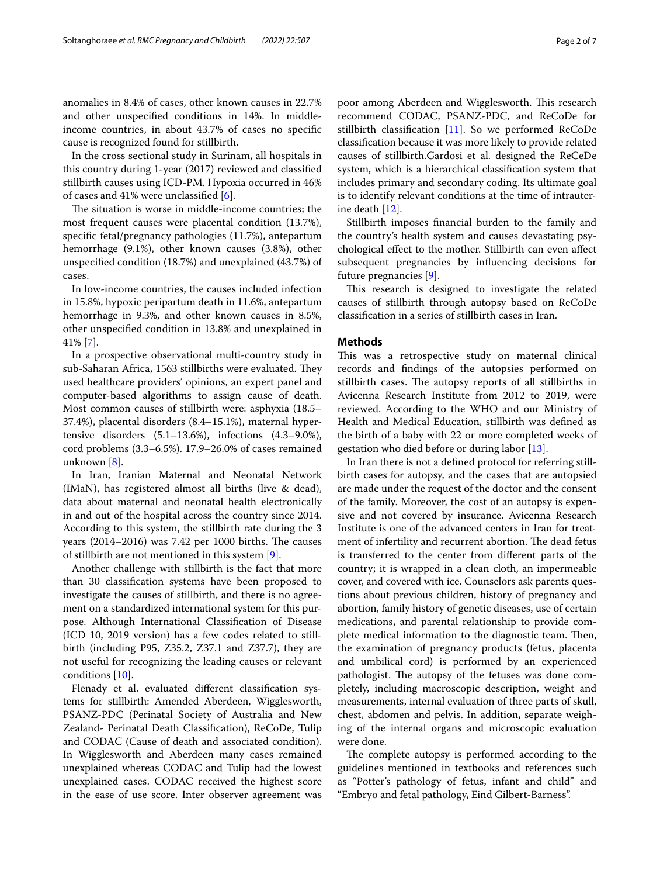anomalies in 8.4% of cases, other known causes in 22.7% and other unspecifed conditions in 14%. In middleincome countries, in about 43.7% of cases no specifc cause is recognized found for stillbirth.

In the cross sectional study in Surinam, all hospitals in this country during 1-year (2017) reviewed and classifed stillbirth causes using ICD-PM. Hypoxia occurred in 46% of cases and 41% were unclassifed [\[6](#page-6-5)].

The situation is worse in middle-income countries; the most frequent causes were placental condition (13.7%), specifc fetal/pregnancy pathologies (11.7%), antepartum hemorrhage (9.1%), other known causes (3.8%), other unspecifed condition (18.7%) and unexplained (43.7%) of cases.

In low-income countries, the causes included infection in 15.8%, hypoxic peripartum death in 11.6%, antepartum hemorrhage in 9.3%, and other known causes in 8.5%, other unspecifed condition in 13.8% and unexplained in 41% [[7\]](#page-6-6).

In a prospective observational multi-country study in sub-Saharan Africa, 1563 stillbirths were evaluated. They used healthcare providers' opinions, an expert panel and computer-based algorithms to assign cause of death. Most common causes of stillbirth were: asphyxia (18.5– 37.4%), placental disorders (8.4–15.1%), maternal hypertensive disorders (5.1–13.6%), infections (4.3–9.0%), cord problems (3.3–6.5%). 17.9–26.0% of cases remained unknown [\[8\]](#page-6-7).

In Iran, Iranian Maternal and Neonatal Network (IMaN), has registered almost all births (live & dead), data about maternal and neonatal health electronically in and out of the hospital across the country since 2014. According to this system, the stillbirth rate during the 3 years  $(2014–2016)$  was 7.42 per 1000 births. The causes of stillbirth are not mentioned in this system [[9](#page-6-8)].

Another challenge with stillbirth is the fact that more than 30 classifcation systems have been proposed to investigate the causes of stillbirth, and there is no agreement on a standardized international system for this purpose. Although International Classifcation of Disease (ICD 10, 2019 version) has a few codes related to stillbirth (including P95, Z35.2, Z37.1 and Z37.7), they are not useful for recognizing the leading causes or relevant conditions [\[10](#page-6-9)].

Flenady et al. evaluated diferent classifcation systems for stillbirth: Amended Aberdeen, Wigglesworth, PSANZ-PDC (Perinatal Society of Australia and New Zealand- Perinatal Death Classifcation), ReCoDe, Tulip and CODAC (Cause of death and associated condition). In Wigglesworth and Aberdeen many cases remained unexplained whereas CODAC and Tulip had the lowest unexplained cases. CODAC received the highest score in the ease of use score. Inter observer agreement was poor among Aberdeen and Wigglesworth. This research recommend CODAC, PSANZ-PDC, and ReCoDe for stillbirth classifcation [[11\]](#page-6-10). So we performed ReCoDe classifcation because it was more likely to provide related causes of stillbirth.Gardosi et al. designed the ReCeDe system, which is a hierarchical classifcation system that includes primary and secondary coding. Its ultimate goal is to identify relevant conditions at the time of intrauterine death [[12\]](#page-6-11).

Stillbirth imposes fnancial burden to the family and the country's health system and causes devastating psychological efect to the mother. Stillbirth can even afect subsequent pregnancies by infuencing decisions for future pregnancies [[9\]](#page-6-8).

This research is designed to investigate the related causes of stillbirth through autopsy based on ReCoDe classifcation in a series of stillbirth cases in Iran.

# **Methods**

This was a retrospective study on maternal clinical records and fndings of the autopsies performed on stillbirth cases. The autopsy reports of all stillbirths in Avicenna Research Institute from 2012 to 2019, were reviewed. According to the WHO and our Ministry of Health and Medical Education, stillbirth was defned as the birth of a baby with 22 or more completed weeks of gestation who died before or during labor [[13\]](#page-6-12).

In Iran there is not a defned protocol for referring stillbirth cases for autopsy, and the cases that are autopsied are made under the request of the doctor and the consent of the family. Moreover, the cost of an autopsy is expensive and not covered by insurance. Avicenna Research Institute is one of the advanced centers in Iran for treatment of infertility and recurrent abortion. The dead fetus is transferred to the center from diferent parts of the country; it is wrapped in a clean cloth, an impermeable cover, and covered with ice. Counselors ask parents questions about previous children, history of pregnancy and abortion, family history of genetic diseases, use of certain medications, and parental relationship to provide complete medical information to the diagnostic team. Then, the examination of pregnancy products (fetus, placenta and umbilical cord) is performed by an experienced pathologist. The autopsy of the fetuses was done completely, including macroscopic description, weight and measurements, internal evaluation of three parts of skull, chest, abdomen and pelvis. In addition, separate weighing of the internal organs and microscopic evaluation were done.

The complete autopsy is performed according to the guidelines mentioned in textbooks and references such as "Potter's pathology of fetus, infant and child" and "Embryo and fetal pathology, Eind Gilbert-Barness".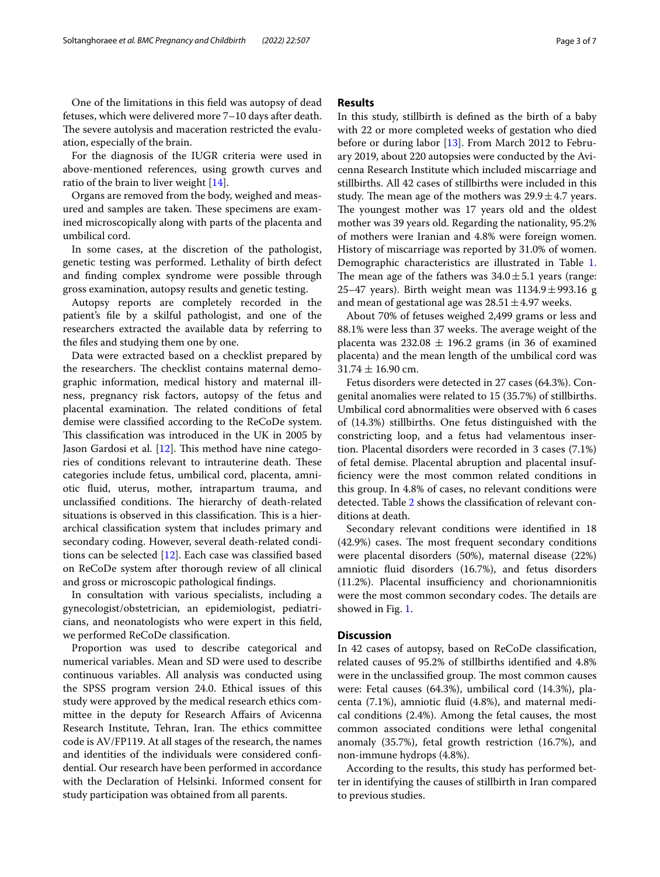One of the limitations in this feld was autopsy of dead fetuses, which were delivered more 7–10 days after death. The severe autolysis and maceration restricted the evaluation, especially of the brain.

For the diagnosis of the IUGR criteria were used in above-mentioned references, using growth curves and ratio of the brain to liver weight [\[14](#page-6-13)].

Organs are removed from the body, weighed and measured and samples are taken. These specimens are examined microscopically along with parts of the placenta and umbilical cord.

In some cases, at the discretion of the pathologist, genetic testing was performed. Lethality of birth defect and fnding complex syndrome were possible through gross examination, autopsy results and genetic testing.

Autopsy reports are completely recorded in the patient's fle by a skilful pathologist, and one of the researchers extracted the available data by referring to the fles and studying them one by one.

Data were extracted based on a checklist prepared by the researchers. The checklist contains maternal demographic information, medical history and maternal illness, pregnancy risk factors, autopsy of the fetus and placental examination. The related conditions of fetal demise were classifed according to the ReCoDe system. This classification was introduced in the UK in 2005 by Jason Gardosi et al.  $[12]$  $[12]$ . This method have nine categories of conditions relevant to intrauterine death. These categories include fetus, umbilical cord, placenta, amniotic fuid, uterus, mother, intrapartum trauma, and unclassified conditions. The hierarchy of death-related situations is observed in this classification. This is a hierarchical classifcation system that includes primary and secondary coding. However, several death-related conditions can be selected [\[12](#page-6-11)]. Each case was classifed based on ReCoDe system after thorough review of all clinical and gross or microscopic pathological fndings.

In consultation with various specialists, including a gynecologist/obstetrician, an epidemiologist, pediatricians, and neonatologists who were expert in this feld, we performed ReCoDe classifcation.

Proportion was used to describe categorical and numerical variables. Mean and SD were used to describe continuous variables. All analysis was conducted using the SPSS program version 24.0. Ethical issues of this study were approved by the medical research ethics committee in the deputy for Research Afairs of Avicenna Research Institute, Tehran, Iran. The ethics committee code is AV/FP119. At all stages of the research, the names and identities of the individuals were considered confdential. Our research have been performed in accordance with the Declaration of Helsinki. Informed consent for study participation was obtained from all parents.

# **Results**

In this study, stillbirth is defned as the birth of a baby with 22 or more completed weeks of gestation who died before or during labor [[13](#page-6-12)]. From March 2012 to February 2019, about 220 autopsies were conducted by the Avicenna Research Institute which included miscarriage and stillbirths. All 42 cases of stillbirths were included in this study. The mean age of the mothers was  $29.9 \pm 4.7$  years. The youngest mother was 17 years old and the oldest mother was 39 years old. Regarding the nationality, 95.2% of mothers were Iranian and 4.8% were foreign women. History of miscarriage was reported by 31.0% of women. Demographic characteristics are illustrated in Table [1](#page-3-0). The mean age of the fathers was  $34.0 \pm 5.1$  years (range: 25–47 years). Birth weight mean was  $1134.9 \pm 993.16$  g and mean of gestational age was  $28.51 \pm 4.97$  weeks.

About 70% of fetuses weighed 2,499 grams or less and 88.1% were less than 37 weeks. The average weight of the placenta was  $232.08 \pm 196.2$  grams (in 36 of examined placenta) and the mean length of the umbilical cord was  $31.74 \pm 16.90$  cm.

Fetus disorders were detected in 27 cases (64.3%). Congenital anomalies were related to 15 (35.7%) of stillbirths. Umbilical cord abnormalities were observed with 6 cases of (14.3%) stillbirths. One fetus distinguished with the constricting loop, and a fetus had velamentous insertion. Placental disorders were recorded in 3 cases (7.1%) of fetal demise. Placental abruption and placental insufficiency were the most common related conditions in this group. In 4.8% of cases, no relevant conditions were detected. Table [2](#page-3-1) shows the classifcation of relevant conditions at death.

Secondary relevant conditions were identifed in 18  $(42.9%)$  cases. The most frequent secondary conditions were placental disorders (50%), maternal disease (22%) amniotic fuid disorders (16.7%), and fetus disorders  $(11.2%)$ . Placental insufficiency and chorionamnionitis were the most common secondary codes. The details are showed in Fig. [1.](#page-4-0)

# **Discussion**

In 42 cases of autopsy, based on ReCoDe classifcation, related causes of 95.2% of stillbirths identifed and 4.8% were in the unclassified group. The most common causes were: Fetal causes (64.3%), umbilical cord (14.3%), placenta (7.1%), amniotic fuid (4.8%), and maternal medical conditions (2.4%). Among the fetal causes, the most common associated conditions were lethal congenital anomaly (35.7%), fetal growth restriction (16.7%), and non-immune hydrops (4.8%).

According to the results, this study has performed better in identifying the causes of stillbirth in Iran compared to previous studies.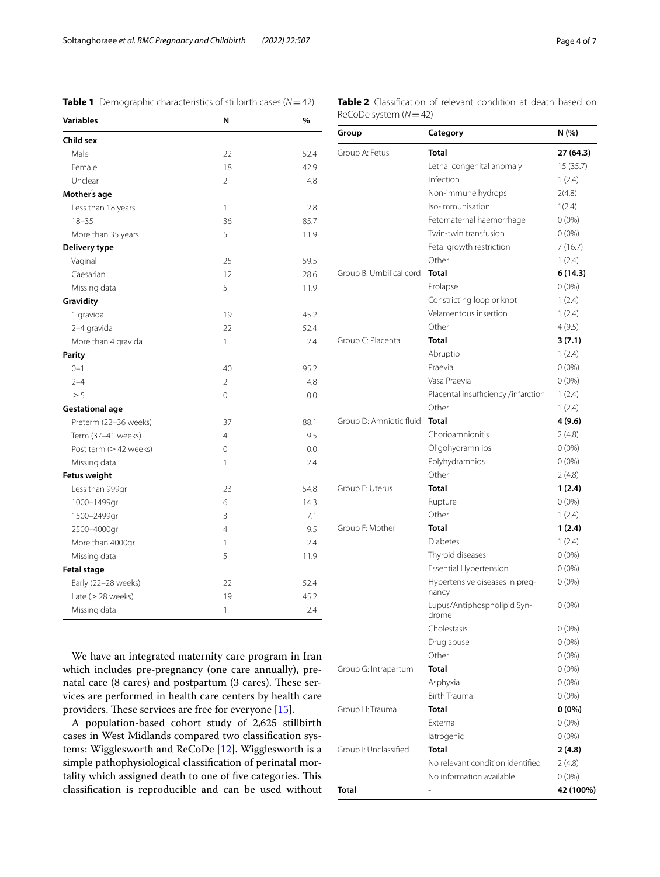<span id="page-3-0"></span>

|  | <b>Table 1</b> Demographic characteristics of stillbirth cases ( $N = 42$ ) |  |
|--|-----------------------------------------------------------------------------|--|
|--|-----------------------------------------------------------------------------|--|

<span id="page-3-1"></span>

| <b>Table 2</b> Classification of relevant condition at death based on |  |  |  |
|-----------------------------------------------------------------------|--|--|--|
| ReCoDe system $(N=42)$                                                |  |  |  |

| Variables                    | N              | %    |
|------------------------------|----------------|------|
| Child sex                    |                |      |
| Male                         | 22             | 52.4 |
| Female                       | 18             | 42.9 |
| Unclear                      | $\mathfrak{D}$ | 4.8  |
| Mother's age                 |                |      |
| Less than 18 years           | $\mathbf{1}$   | 2.8  |
| $18 - 35$                    | 36             | 85.7 |
| More than 35 years           | 5              | 11.9 |
| Delivery type                |                |      |
| Vaginal                      | 25             | 59.5 |
| Caesarian                    | 12             | 28.6 |
| Missing data                 | 5              | 11.9 |
| Gravidity                    |                |      |
| 1 gravida                    | 19             | 45.2 |
| 2-4 gravida                  | 22             | 52.4 |
| More than 4 gravida          | 1              | 2.4  |
| <b>Parity</b>                |                |      |
| $0 - 1$                      | 40             | 95.2 |
| $2 - 4$                      | $\overline{2}$ | 4.8  |
| $\geq 5$                     | $\mathbf 0$    | 0.0  |
| <b>Gestational age</b>       |                |      |
| Preterm (22-36 weeks)        | 37             | 88.1 |
| Term (37-41 weeks)           | $\overline{4}$ | 9.5  |
| Post term ( $\geq$ 42 weeks) | $\overline{0}$ | 0.0  |
| Missing data                 | 1              | 2.4  |
| <b>Fetus weight</b>          |                |      |
| Less than 999gr              | 23             | 54.8 |
| 1000-1499gr                  | 6              | 14.3 |
| 1500-2499gr                  | 3              | 7.1  |
| 2500-4000gr                  | $\overline{4}$ | 9.5  |
| More than 4000gr             | 1              | 2.4  |
| Missing data                 | 5              | 11.9 |
| <b>Fetal stage</b>           |                |      |
| Early (22-28 weeks)          | 22             | 52.4 |
| Late ( $\geq$ 28 weeks)      | 19             | 45.2 |
| Missing data                 | 1              | 2.4  |

We have an integrated maternity care program in Iran which includes pre-pregnancy (one care annually), prenatal care (8 cares) and postpartum (3 cares). These services are performed in health care centers by health care providers. These services are free for everyone  $[15]$  $[15]$ .

A population-based cohort study of 2,625 stillbirth cases in West Midlands compared two classifcation systems: Wigglesworth and ReCoDe [\[12](#page-6-11)]. Wigglesworth is a simple pathophysiological classifcation of perinatal mortality which assigned death to one of five categories. This classifcation is reproducible and can be used without

| Group                   | Category                                | N (%)     |
|-------------------------|-----------------------------------------|-----------|
| Group A: Fetus          | <b>Total</b>                            | 27 (64.3) |
|                         | Lethal congenital anomaly               | 15 (35.7) |
|                         | Infection                               | 1(2.4)    |
|                         | Non-immune hydrops                      | 2(4.8)    |
|                         | Iso-immunisation                        | 1(2.4)    |
|                         | Fetomaternal haemorrhage                | $0(0\%)$  |
|                         | Twin-twin transfusion                   | $0(0\%)$  |
|                         | Fetal growth restriction                | 7 (16.7)  |
|                         | Other                                   | 1(2.4)    |
| Group B: Umbilical cord | <b>Total</b>                            | 6(14.3)   |
|                         | Prolapse                                | $0(0\%)$  |
|                         | Constricting loop or knot               | 1(2.4)    |
|                         | Velamentous insertion                   | 1(2.4)    |
|                         | Other                                   | 4(9.5)    |
| Group C: Placenta       | Total                                   | 3(7.1)    |
|                         | Abruptio                                | 1(2.4)    |
|                         | Praevia                                 | $0(0\%)$  |
|                         | Vasa Praevia                            | $0(0\%)$  |
|                         | Placental insufficiency /infarction     | 1(2.4)    |
|                         | Other                                   | 1(2.4)    |
| Group D: Amniotic fluid | <b>Total</b>                            | 4 (9.6)   |
|                         | Chorioamnionitis                        | 2(4.8)    |
|                         | Oligohydramn ios                        | $0(0\%)$  |
|                         | Polyhydramnios                          | $0(0\%)$  |
|                         | Other                                   | 2(4.8)    |
| Group E: Uterus         | Total                                   | 1(2.4)    |
|                         | Rupture                                 | $0(0\%)$  |
|                         | Other                                   | 1(2.4)    |
| Group F: Mother         | Total                                   | 1(2.4)    |
|                         | <b>Diabetes</b>                         | 1(2.4)    |
|                         | Thyroid diseases                        | $0(0\%)$  |
|                         | <b>Essential Hypertension</b>           | $0(0\%)$  |
|                         | Hypertensive diseases in preg-<br>nancy | $0(0\%)$  |
|                         | Lupus/Antiphospholipid Syn-<br>drome    | $0(0\%)$  |
|                         | Cholestasis                             | 0 (0%)    |
|                         | Drug abuse                              | $0(0\%)$  |
|                         | Other                                   | $0(0\%)$  |
| Group G: Intrapartum    | Total                                   | $0(0\%)$  |
|                         | Asphyxia                                | $0(0\%)$  |
|                         | Birth Trauma                            | $0(0\%)$  |
| Group H: Trauma         | Total                                   | $0(0\%)$  |
|                         | External                                | $0(0\%)$  |
|                         | latrogenic                              | $0(0\%)$  |
| Group I: Unclassified   | Total                                   | 2(4.8)    |
|                         | No relevant condition identified        | 2 (4.8)   |
|                         | No information available                | 0 (0%)    |
| Total                   |                                         | 42 (100%) |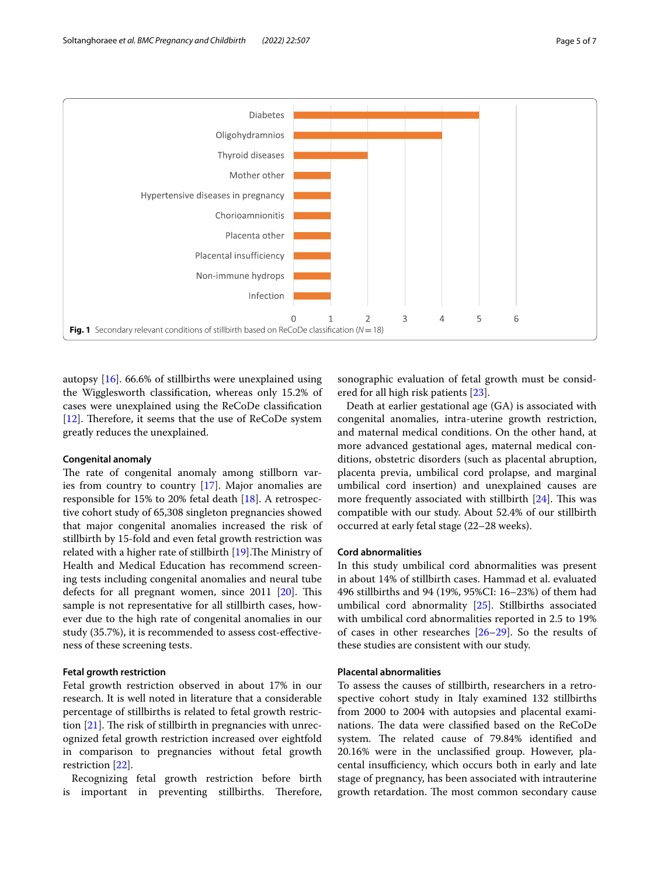

<span id="page-4-0"></span>autopsy [[16\]](#page-6-15). 66.6% of stillbirths were unexplained using the Wigglesworth classifcation, whereas only 15.2% of cases were unexplained using the ReCoDe classifcation [[12\]](#page-6-11). Therefore, it seems that the use of  $ReCoDe$  system greatly reduces the unexplained.

## **Congenital anomaly**

The rate of congenital anomaly among stillborn varies from country to country [\[17\]](#page-6-16). Major anomalies are responsible for 15% to 20% fetal death [[18](#page-6-17)]. A retrospective cohort study of 65,308 singleton pregnancies showed that major congenital anomalies increased the risk of stillbirth by 15-fold and even fetal growth restriction was related with a higher rate of stillbirth [\[19](#page-6-18)]. The Ministry of Health and Medical Education has recommend screening tests including congenital anomalies and neural tube defects for all pregnant women, since  $2011$   $[20]$ . This sample is not representative for all stillbirth cases, however due to the high rate of congenital anomalies in our study (35.7%), it is recommended to assess cost-efectiveness of these screening tests.

# **Fetal growth restriction**

Fetal growth restriction observed in about 17% in our research. It is well noted in literature that a considerable percentage of stillbirths is related to fetal growth restriction  $[21]$  $[21]$ . The risk of stillbirth in pregnancies with unrecognized fetal growth restriction increased over eightfold in comparison to pregnancies without fetal growth restriction [[22\]](#page-6-21).

Recognizing fetal growth restriction before birth is important in preventing stillbirths. Therefore,

sonographic evaluation of fetal growth must be considered for all high risk patients [\[23\]](#page-6-22).

Death at earlier gestational age (GA) is associated with congenital anomalies, intra-uterine growth restriction, and maternal medical conditions. On the other hand, at more advanced gestational ages, maternal medical conditions, obstetric disorders (such as placental abruption, placenta previa, umbilical cord prolapse, and marginal umbilical cord insertion) and unexplained causes are more frequently associated with stillbirth  $[24]$  $[24]$ . This was compatible with our study. About 52.4% of our stillbirth occurred at early fetal stage (22–28 weeks).

## **Cord abnormalities**

In this study umbilical cord abnormalities was present in about 14% of stillbirth cases. Hammad et al. evaluated 496 stillbirths and 94 (19%, 95%CI: 16–23%) of them had umbilical cord abnormality [\[25](#page-6-24)]. Stillbirths associated with umbilical cord abnormalities reported in 2.5 to 19% of cases in other researches [[26–](#page-6-25)[29](#page-6-26)]. So the results of these studies are consistent with our study.

# **Placental abnormalities**

To assess the causes of stillbirth, researchers in a retrospective cohort study in Italy examined 132 stillbirths from 2000 to 2004 with autopsies and placental examinations. The data were classified based on the ReCoDe system. The related cause of 79.84% identified and 20.16% were in the unclassifed group. However, placental insufficiency, which occurs both in early and late stage of pregnancy, has been associated with intrauterine growth retardation. The most common secondary cause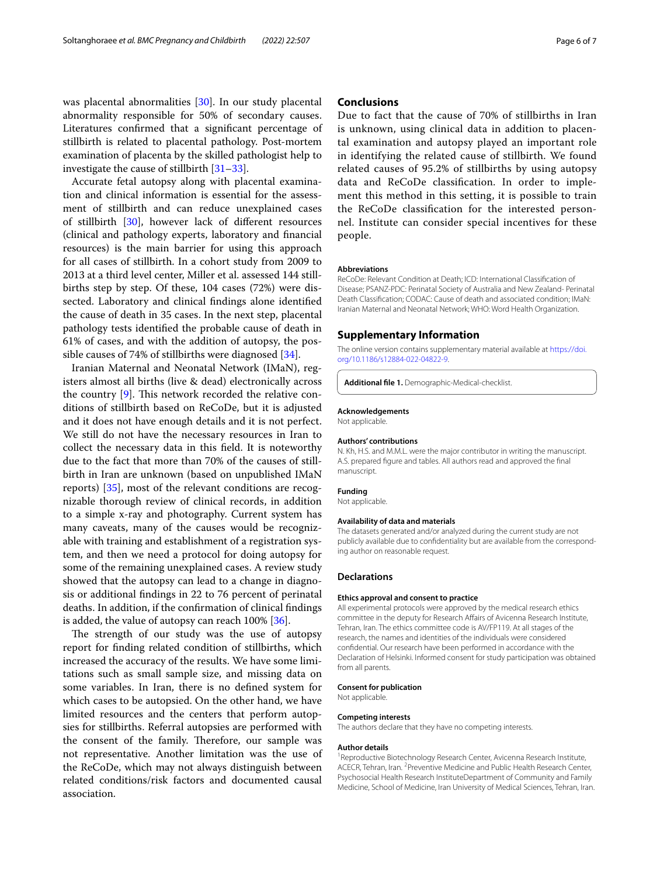was placental abnormalities [[30\]](#page-6-27). In our study placental abnormality responsible for 50% of secondary causes. Literatures confrmed that a signifcant percentage of stillbirth is related to placental pathology. Post-mortem examination of placenta by the skilled pathologist help to investigate the cause of stillbirth [[31](#page-6-28)[–33](#page-6-29)].

Accurate fetal autopsy along with placental examination and clinical information is essential for the assessment of stillbirth and can reduce unexplained cases of stillbirth [\[30](#page-6-27)], however lack of diferent resources (clinical and pathology experts, laboratory and fnancial resources) is the main barrier for using this approach for all cases of stillbirth. In a cohort study from 2009 to 2013 at a third level center, Miller et al. assessed 144 stillbirths step by step. Of these, 104 cases (72%) were dissected. Laboratory and clinical fndings alone identifed the cause of death in 35 cases. In the next step, placental pathology tests identifed the probable cause of death in 61% of cases, and with the addition of autopsy, the possible causes of 74% of stillbirths were diagnosed [\[34](#page-6-30)].

Iranian Maternal and Neonatal Network (IMaN), registers almost all births (live & dead) electronically across the country  $[9]$  $[9]$ . This network recorded the relative conditions of stillbirth based on ReCoDe, but it is adjusted and it does not have enough details and it is not perfect. We still do not have the necessary resources in Iran to collect the necessary data in this feld. It is noteworthy due to the fact that more than 70% of the causes of stillbirth in Iran are unknown (based on unpublished IMaN reports) [\[35\]](#page-6-31), most of the relevant conditions are recognizable thorough review of clinical records, in addition to a simple x-ray and photography. Current system has many caveats, many of the causes would be recognizable with training and establishment of a registration system, and then we need a protocol for doing autopsy for some of the remaining unexplained cases. A review study showed that the autopsy can lead to a change in diagnosis or additional fndings in 22 to 76 percent of perinatal deaths. In addition, if the confrmation of clinical fndings is added, the value of autopsy can reach  $100\%$  [\[36\]](#page-6-32).

The strength of our study was the use of autopsy report for fnding related condition of stillbirths, which increased the accuracy of the results. We have some limitations such as small sample size, and missing data on some variables. In Iran, there is no defned system for which cases to be autopsied. On the other hand, we have limited resources and the centers that perform autopsies for stillbirths. Referral autopsies are performed with the consent of the family. Therefore, our sample was not representative. Another limitation was the use of the ReCoDe, which may not always distinguish between related conditions/risk factors and documented causal association.

# **Conclusions**

Due to fact that the cause of 70% of stillbirths in Iran is unknown, using clinical data in addition to placental examination and autopsy played an important role in identifying the related cause of stillbirth. We found related causes of 95.2% of stillbirths by using autopsy data and ReCoDe classifcation. In order to implement this method in this setting, it is possible to train the ReCoDe classifcation for the interested personnel. Institute can consider special incentives for these people.

#### **Abbreviations**

ReCoDe: Relevant Condition at Death; ICD: International Classifcation of Disease; PSANZ-PDC: Perinatal Society of Australia and New Zealand- Perinatal Death Classifcation; CODAC: Cause of death and associated condition; IMaN: Iranian Maternal and Neonatal Network; WHO: Word Health Organization.

### **Supplementary Information**

The online version contains supplementary material available at [https://doi.](https://doi.org/10.1186/s12884-022-04822-9) [org/10.1186/s12884-022-04822-9](https://doi.org/10.1186/s12884-022-04822-9).

**Additional fle 1.** Demographic-Medical-checklist.

#### **Acknowledgements**

Not applicable.

#### **Authors' contributions**

N. Kh, H.S. and M.M.L. were the major contributor in writing the manuscript. A.S. prepared fgure and tables. All authors read and approved the fnal manuscript.

#### **Funding**

Not applicable.

#### **Availability of data and materials**

The datasets generated and/or analyzed during the current study are not publicly available due to confidentiality but are available from the corresponding author on reasonable request.

#### **Declarations**

#### **Ethics approval and consent to practice**

All experimental protocols were approved by the medical research ethics committee in the deputy for Research Afairs of Avicenna Research Institute, Tehran, Iran. The ethics committee code is AV/FP119. At all stages of the research, the names and identities of the individuals were considered confdential. Our research have been performed in accordance with the Declaration of Helsinki. Informed consent for study participation was obtained from all parents.

#### **Consent for publication**

Not applicable.

#### **Competing interests**

The authors declare that they have no competing interests.

#### **Author details**

<sup>1</sup> Reproductive Biotechnology Research Center, Avicenna Research Institute, ACECR, Tehran, Iran. <sup>2</sup> Preventive Medicine and Public Health Research Center, Psychosocial Health Research InstituteDepartment of Community and Family Medicine, School of Medicine, Iran University of Medical Sciences, Tehran, Iran.